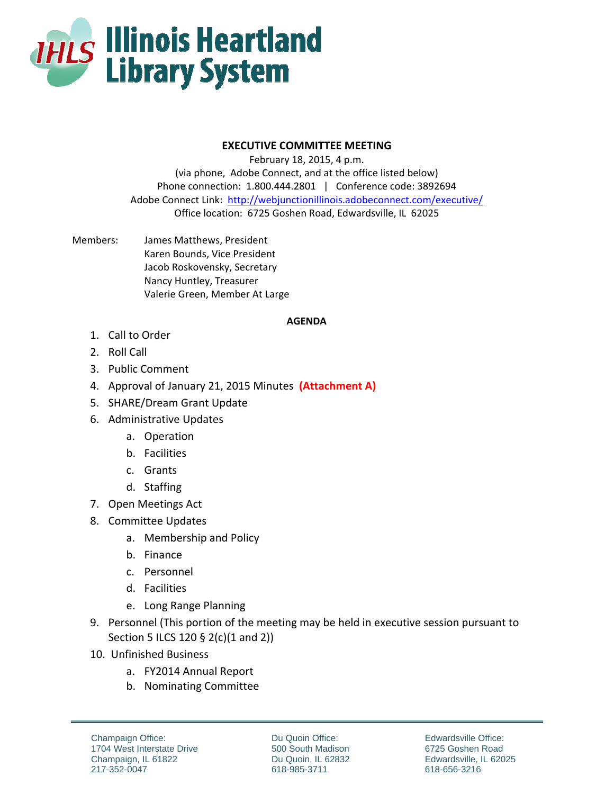

## **EXECUTIVE COMMITTEE MEETING**

February 18, 2015, 4 p.m. (via phone, Adobe Connect, and at the office listed below) Phone connection: 1.800.444.2801 | Conference code: 3892694 Adobe Connect Link: http://webjunctionillinois.adobeconnect.com/executive/ Office location: 6725 Goshen Road, Edwardsville, IL 62025

Members: James Matthews, President Karen Bounds, Vice President Jacob Roskovensky, Secretary Nancy Huntley, Treasurer Valerie Green, Member At Large

## **AGENDA**

- 1. Call to Order
- 2. Roll Call
- 3. Public Comment
- 4. Approval of January 21, 2015 Minutes **(Attachment A)**
- 5. SHARE/Dream Grant Update
- 6. Administrative Updates
	- a. Operation
	- b. Facilities
	- c. Grants
	- d. Staffing
- 7. Open Meetings Act
- 8. Committee Updates
	- a. Membership and Policy
	- b. Finance
	- c. Personnel
	- d. Facilities
	- e. Long Range Planning
- 9. Personnel (This portion of the meeting may be held in executive session pursuant to Section 5 ILCS 120 § 2(c)(1 and 2))
- 10. Unfinished Business
	- a. FY2014 Annual Report
	- b. Nominating Committee

Champaign Office: 1704 West Interstate Drive Champaign, IL 61822 217-352-0047

Du Quoin Office: 500 South Madison Du Quoin, IL 62832 618-985-3711

Edwardsville Office: 6725 Goshen Road Edwardsville, IL 62025 618-656-3216